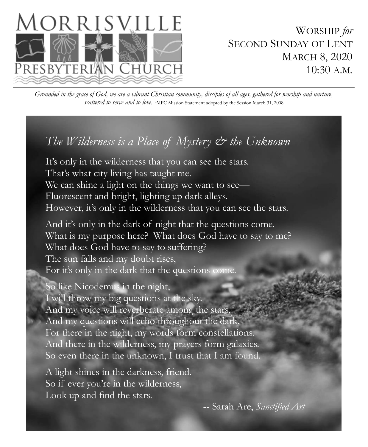

WORSHIP *for* SECOND SUNDAY OF LENT MARCH 8, 2020 10:30 A.M.

*Grounded in the grace of God, we are a vibrant Christian community, disciples of all ages, gathered for worship and nurture, scattered to serve and to love. -*MPC Mission Statement adopted by the Session March 31, 2008

# *The Wilderness is a Place of Mystery & the Unknown*

It's only in the wilderness that you can see the stars. That's what city living has taught me. We can shine a light on the things we want to see— Fluorescent and bright, lighting up dark alleys. However, it's only in the wilderness that you can see the stars.

And it's only in the dark of night that the questions come. What is my purpose here? What does God have to say to me? What does God have to say to suffering? The sun falls and my doubt rises, For it's only in the dark that the questions come.

So like Nicodemus in the night, I will throw my big questions at the sky. And my voice will reverberate among the stars, And my questions will echo throughout the dark. For there in the night, my words form constellations. And there in the wilderness, my prayers form galaxies. So even there in the unknown, I trust that I am found.

A light shines in the darkness, friend. So if ever you're in the wilderness, Look up and find the stars.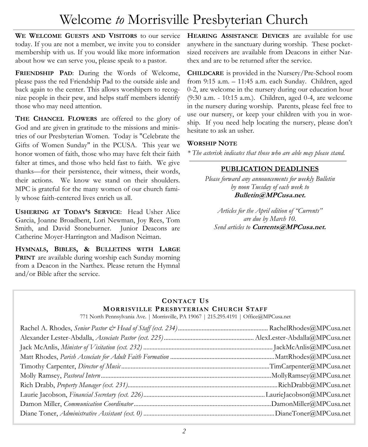# Welcome *to* Morrisville Presbyterian Church

**WE WELCOME GUESTS AND VISITORS** to our service today. If you are not a member, we invite you to consider membership with us. If you would like more information about how we can serve you, please speak to a pastor.

**FRIENDSHIP PAD**: During the Words of Welcome, please pass the red Friendship Pad to the outside aisle and back again to the center. This allows worshipers to recognize people in their pew, and helps staff members identify those who may need attention.

**THE CHANCEL FLOWERS** are offered to the glory of God and are given in gratitude to the missions and ministries of our Presbyterian Women. Today is "Celebrate the Gifts of Women Sunday" in the PCUSA. This year we honor women of faith, those who may have felt their faith falter at times, and those who held fast to faith. We give thanks—for their persistence, their witness, their words, their actions. We know we stand on their shoulders. MPC is grateful for the many women of our church family whose faith-centered lives enrich us all.

**USHERING AT TODAY'S SERVICE**: Head Usher Alice Garcia, Joanne Broadbent, Lori Newman, Joy Rees, Tom Smith, and David Stoneburner. Junior Deacons are Catherine Moyer-Harrington and Madison Neiman.

**HYMNALS, BIBLES, & BULLETINS WITH LARGE PRINT** are available during worship each Sunday morning from a Deacon in the Narthex. Please return the Hymnal and/or Bible after the service.

**HEARING ASSISTANCE DEVICES** are available for use anywhere in the sanctuary during worship. These pocketsized receivers are available from Deacons in either Narthex and are to be returned after the service.

**CHILDCARE** is provided in the Nursery/Pre-School room from 9:15 a.m. – 11:45 a.m. each Sunday. Children, aged 0-2, are welcome in the nursery during our education hour (9:30 a.m. - 10:15 a.m.). Children, aged 0-4, are welcome in the nursery during worship. Parents, please feel free to use our nursery, or keep your children with you in worship. If you need help locating the nursery, please don't hesitate to ask an usher.

### **WORSHIP NOTE**

*\* The asterisk indicates that those who are able may please stand.* 

## **PUBLICATION DEADLINES**

*Please forward any announcements for weekly Bulletin by noon Tuesday of each week to* **Bulletin@MPCusa.net.** 

*Articles for the April edition of "Currents" are due by March 10. Send articles to* **Currents@MPCusa.net.**

# **CONTACT US MORRISVILLE PRESBYTERIAN CHURCH STAFF**

771 North Pennsylvania Ave. | Morrisville, PA 19067 | 215.295.4191 | Office@MPCusa.net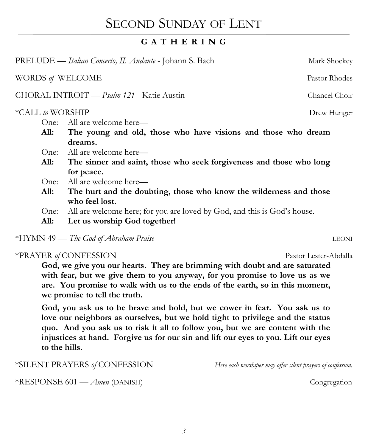# SECOND SUNDAY OF LENT

# **G A T H E R I N G**

PRELUDE — *Italian Concerto, II. Andante* - Johann S. Bach Mark Shockey WORDS *of* WELCOME Pastor Rhodes CHORAL INTROIT — *Psalm 121* - Katie Austin Chancel Choir \*CALL *to* WORSHIP Drew Hunger One: All are welcome here— **All: The young and old, those who have visions and those who dream dreams.**  One: All are welcome here— **All: The sinner and saint, those who seek forgiveness and those who long for peace.**  One: All are welcome here— **All: The hurt and the doubting, those who know the wilderness and those who feel lost.**  One: All are welcome here; for you are loved by God, and this is God's house. **All: Let us worship God together!**

\*HYMN 49 — *The God of Abraham Praise* LEONI

# \*PRAYER of CONFESSION Pastor Lester-Abdalla

**God, we give you our hearts. They are brimming with doubt and are saturated with fear, but we give them to you anyway, for you promise to love us as we are. You promise to walk with us to the ends of the earth, so in this moment, we promise to tell the truth.**

**God, you ask us to be brave and bold, but we cower in fear. You ask us to love our neighbors as ourselves, but we hold tight to privilege and the status quo. And you ask us to risk it all to follow you, but we are content with the injustices at hand. Forgive us for our sin and lift our eyes to you. Lift our eyes to the hills.** 

\*SILENT PRAYERS *of* CONFESSION *Here each worshiper may offer silent prayers of confession.*

\*RESPONSE 601 — *Amen* (DANISH) Congregation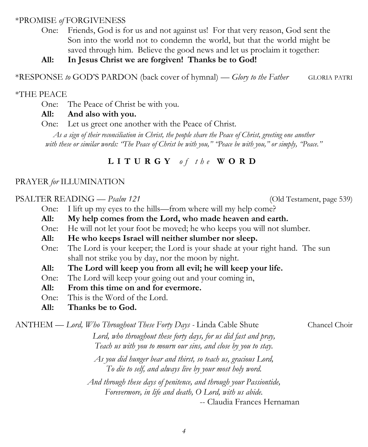### \*PROMISE *of* FORGIVENESS

One: Friends, God is for us and not against us! For that very reason, God sent the Son into the world not to condemn the world, but that the world might be saved through him. Believe the good news and let us proclaim it together:

### **All: In Jesus Christ we are forgiven! Thanks be to God!**

\*RESPONSE *to* GOD'S PARDON (back cover of hymnal) — *Glory to the Father* GLORIA PATRI

#### \*THE PEACE

One: The Peace of Christ be with you.

### **All: And also with you.**

One: Let us greet one another with the Peace of Christ.

*As a sign of their reconciliation in Christ, the people share the Peace of Christ, greeting one another with these or similar words: "The Peace of Christ be with you," "Peace be with you," or simply, "Peace."* 

# **L I T U R G Y** *o f t h e* **W O R D**

#### PRAYER *for* ILLUMINATION

### PSALTER READING — *Psalm 121* (Old Testament, page 539)

- One: I lift up my eyes to the hills—from where will my help come?
- **All: My help comes from the Lord, who made heaven and earth.**
- One: He will not let your foot be moved; he who keeps you will not slumber.
- **All: He who keeps Israel will neither slumber nor sleep.**
- One: The Lord is your keeper; the Lord is your shade at your right hand. The sun shall not strike you by day, nor the moon by night.
- **All: The Lord will keep you from all evil; he will keep your life.**
- One: The Lord will keep your going out and your coming in,
- **All: From this time on and for evermore.**
- One: This is the Word of the Lord.
- **All: Thanks be to God.**

ANTHEM — *Lord, Who Throughout These Forty Days -* Linda Cable Shute Chancel Choir

*Lord, who throughout these forty days, for us did fast and pray, Teach us with you to mourn our sins, and close by you to stay.* 

*As you did hunger bear and thirst, so teach us, gracious Lord, To die to self, and always live by your most holy word.* 

*And through these days of penitence, and through your Passiontide, Forevermore, in life and death, O Lord, with us abide.* 

-- Claudia Frances Hernaman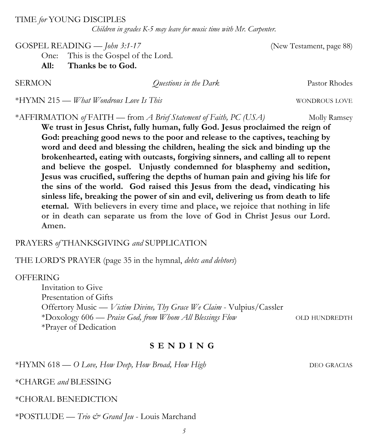TIME *for* YOUNG DISCIPLES

*Children in grades K-5 may leave for music time with Mr. Carpenter.*

GOSPEL READING — *John 3:1-17* (New Testament, page 88)

One: This is the Gospel of the Lord.

**All: Thanks be to God.**

**SERMON** *Questions in the Dark* Pastor Rhodes

\*HYMN 215 — *What Wondrous Love Is This* WONDROUS LOVE

\*AFFIRMATION *of* FAITH — from *A Brief Statement of Faith, PC (USA)* Molly Ramsey

**We trust in Jesus Christ, fully human, fully God. Jesus proclaimed the reign of God: preaching good news to the poor and release to the captives, teaching by word and deed and blessing the children, healing the sick and binding up the brokenhearted, eating with outcasts, forgiving sinners, and calling all to repent and believe the gospel. Unjustly condemned for blasphemy and sedition, Jesus was crucified, suffering the depths of human pain and giving his life for the sins of the world. God raised this Jesus from the dead, vindicating his sinless life, breaking the power of sin and evil, delivering us from death to life eternal. With believers in every time and place, we rejoice that nothing in life or in death can separate us from the love of God in Christ Jesus our Lord. Amen.**

### PRAYERS *of* THANKSGIVING *and* SUPPLICATION

THE LORD'S PRAYER (page 35 in the hymnal, *debts and debtors*)

### **OFFERING**

Invitation to Give Presentation of Gifts Offertory Music — *Victim Divine, Thy Grace We Claim* - Vulpius/Cassler \*Doxology 606 — *Praise God, from Whom All Blessings Flow* OLD HUNDREDTH \*Prayer of Dedication

# **S E N D I N G**

\*HYMN 618 — *O Love, How Deep, How Broad, How High* DEO GRACIAS

\*CHARGE *and* BLESSING

\*CHORAL BENEDICTION

\*POSTLUDE — *Trio & Grand Jeu* - Louis Marchand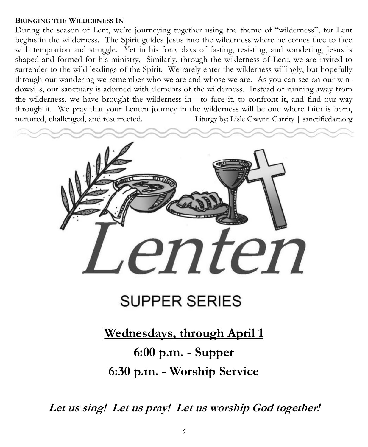### **BRINGING THE WILDERNESS IN**

During the season of Lent, we're journeying together using the theme of "wilderness", for Lent begins in the wilderness. The Spirit guides Jesus into the wilderness where he comes face to face with temptation and struggle. Yet in his forty days of fasting, resisting, and wandering, Jesus is shaped and formed for his ministry. Similarly, through the wilderness of Lent, we are invited to surrender to the wild leadings of the Spirit. We rarely enter the wilderness willingly, but hopefully through our wandering we remember who we are and whose we are. As you can see on our windowsills, our sanctuary is adorned with elements of the wilderness. Instead of running away from the wilderness, we have brought the wilderness in—to face it, to confront it, and find our way through it. We pray that your Lenten journey in the wilderness will be one where faith is born, nurtured, challenged, and resurrected. Liturgy by: Lisle Gwynn Garrity | sanctifiedart.org



# **SUPPER SERIES**

# **Wednesdays, through April 1 6:00 p.m. - Supper 6:30 p.m. - Worship Service**

**Let us sing! Let us pray! Let us worship God together!**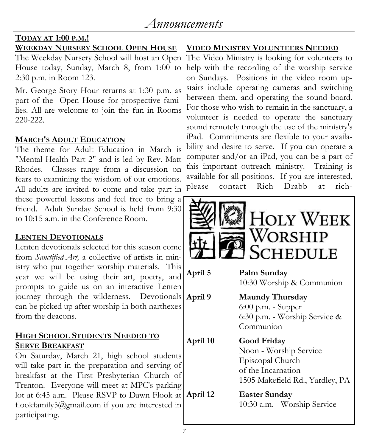# **TODAY AT 1:00 P.M.!**

# **WEEKDAY NURSERY SCHOOL OPEN HOUSE**

2:30 p.m. in Room 123.

Mr. George Story Hour returns at 1:30 p.m. as part of the Open House for prospective families. All are welcome to join the fun in Rooms 220-222.

# **MARCH'S ADULT EDUCATION**

The theme for Adult Education in March is "Mental Health Part 2" and is led by Rev. Matt Rhodes. Classes range from a discussion on fears to examining the wisdom of our emotions. All adults are invited to come and take part in these powerful lessons and feel free to bring a friend. Adult Sunday School is held from 9:30 to 10:15 a.m. in the Conference Room.

# **LENTEN DEVOTIONALS**

Lenten devotionals selected for this season come from *Sanctified Art,* a collective of artists in ministry who put together worship materials. This year we will be using their art, poetry, and prompts to guide us on an interactive Lenten journey through the wilderness. Devotionals can be picked up after worship in both narthexes from the deacons.

## **HIGH SCHOOL STUDENTS NEEDED TO SERVE BREAKFAST**

On Saturday, March 21, high school students will take part in the preparation and serving of breakfast at the First Presbyterian Church of Trenton. Everyone will meet at MPC's parking lot at 6:45 a.m. Please RSVP to Dawn Flook at flookfamily5@gmail.com if you are interested in participating.

# **VIDEO MINISTRY VOLUNTEERS NEEDED**

The Weekday Nursery School will host an Open The Video Ministry is looking for volunteers to House today, Sunday, March 8, from 1:00 to help with the recording of the worship service on Sundays. Positions in the video room upstairs include operating cameras and switching between them, and operating the sound board. For those who wish to remain in the sanctuary, a volunteer is needed to operate the sanctuary sound remotely through the use of the ministry's iPad. Commitments are flexible to your availability and desire to serve. If you can operate a computer and/or an iPad, you can be a part of this important outreach ministry. Training is available for all positions. If you are interested,<br>please contact Rich Drabb at richcontact Rich Drabb at rich-

|          | <b>HOLY WEEK</b><br>Worship<br><b>SCHEDULE</b>                                                                     |
|----------|--------------------------------------------------------------------------------------------------------------------|
| April 5  | Palm Sunday<br>10:30 Worship & Communion                                                                           |
| April 9  | <b>Maundy Thursday</b><br>6:00 p.m. - Supper<br>6:30 p.m. - Worship Service &<br>Communion                         |
| April 10 | Good Friday<br>Noon - Worship Service<br>Episcopal Church<br>of the Incarnation<br>1505 Makefield Rd., Yardley, PA |
| April 12 | <b>Easter Sunday</b><br>10:30 a.m. - Worship Service                                                               |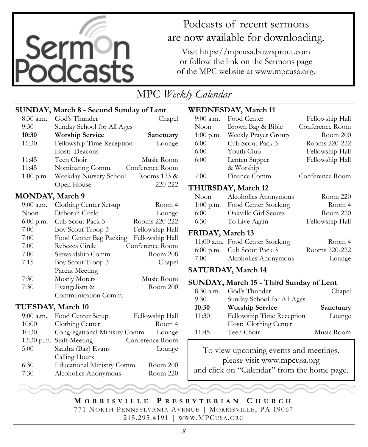

# Podcasts of recent sermons are now available for downloading.

Visit https://mpcusa.buzzsprout.com or follow the link on the Sermons page of the MPC website at www.mpcusa.org.

# MPC *Weekly Calendar*

## **SUNDAY, March 8 - Second Sunday of Lent**

| $8:30$ a.m. | God's Thunder              | Chapel          |
|-------------|----------------------------|-----------------|
| 9:30        | Sunday School for All Ages |                 |
| 10:30       | <b>Worship Service</b>     | Sanctuary       |
| 11:30       | Fellowship Time Reception  | Lounge          |
|             | Host: Deacons              |                 |
| 11:45       | Teen Choir                 | Music Room      |
| 11:45       | Nominating Comm.           | Conference Room |
| $1:00$ p.m. | Weekday Nursery School     | Rooms 123 &     |
|             | Open House                 | 220-222         |

### **MONDAY, March 9**

| $9:00$ a.m. | Clothing Center Set-up  | Room 4          |
|-------------|-------------------------|-----------------|
| Noon        | Deborah Circle          | Lounge          |
| $6:00$ p.m. | Cub Scout Pack 3        | Rooms 220-222   |
| 7:00        | Boy Scout Troop 3       | Fellowship Hall |
| 7:00        | Food Center Bag Packing | Fellowship Hall |
| 7:00        | Rebecca Circle          | Conference Room |
| 7:00        | Stewardship Comm.       | Room 208        |
| 7:15        | Boy Scout Troop 3       | Chapel          |
|             | Parent Meeting          |                 |
| 7:30        | <b>Mostly Motets</b>    | Music Room      |
| 7:30        | Evangelism &            | Room 200        |
|             | Communication Comm.     |                 |

### **TUESDAY, March 10**

| $9:00$ a.m. | Food Center Setup             | Fellowship Hall |
|-------------|-------------------------------|-----------------|
| 10:00       | Clothing Center               | Room 4          |
| 10:30       | Congregational Ministry Comm. | Lounge          |
|             | 12:30 p.m. Staff Meeting      | Conference Room |
| 5:00        | Sandra (Baz) Evans            | Lounge          |
|             | Calling Hours                 |                 |
| 6:30        | Educational Ministry Comm.    | Room 200        |
| 7:30        | Alcoholics Anonymous          | Room 220        |

## **WEDNESDAY, March 11**

|                                         | 881 WODILI, MACH 11             |                 |  |
|-----------------------------------------|---------------------------------|-----------------|--|
| 9:00 a.m.                               | Food Center                     | Fellowship Hall |  |
| Noon                                    | Brown Bag & Bible               | Conference Room |  |
| 1:00 p.m.                               | Weekly Prayer Group             | Room 200        |  |
| $6:00^{-}$                              | Cub Scout Pack 3                | Rooms 220-222   |  |
| $6:00^-$                                | Youth Club                      | Fellowship Hall |  |
| $6:00^{-}$                              | Lenten Supper                   | Fellowship Hall |  |
|                                         | & Worship                       |                 |  |
| 7:00                                    | Finance Comm.                   | Conference Room |  |
|                                         | <b>THURSDAY, March 12</b>       |                 |  |
| Noon                                    | Alcoholics Anonymous            | Room 220        |  |
| $1:00$ p.m.                             | Food Center Stocking            | Room 4          |  |
| $6:00^{-}$                              | Oakville Girl Scouts            | Room 220        |  |
| 6:30                                    | To Live Again                   | Fellowship Hall |  |
| FRIDAY, March 13                        |                                 |                 |  |
|                                         | 11:00 a.m. Food Center Stocking | Room 4          |  |
|                                         | 6:00 p.m. Cub Scout Pack 3      | Rooms 220-222   |  |
| 7:00                                    | Alcoholics Anonymous            | Lounge          |  |
|                                         | SATURDAY, March 14              |                 |  |
| SUNDAY, March 15 - Third Sunday of Lent |                                 |                 |  |
| 8:30 a.m.                               | God's Thunder                   | Chapel          |  |
| 9:30                                    | Sunday School for All Ages      |                 |  |
| 10:30                                   | <b>Worship Service</b>          | Sanctuary       |  |
| 11:30                                   | Fellowship Time Reception       | Lounge          |  |
|                                         | Host: Clothing Center           |                 |  |
| 11:45                                   | Teen Choir                      | Music Room      |  |
|                                         |                                 |                 |  |

To view upcoming events and meetings, please visit www.mpcusa.org and click on "Calendar" from the home page.

**M O R R I S V I L L E P R E S B Y T E R I A N C H U R C H** 771 NORTH PENNSYLVANIA AVENUE | MORRISVILLE, PA 19067 215.295.4191 | WWW.MPCUSA.ORG